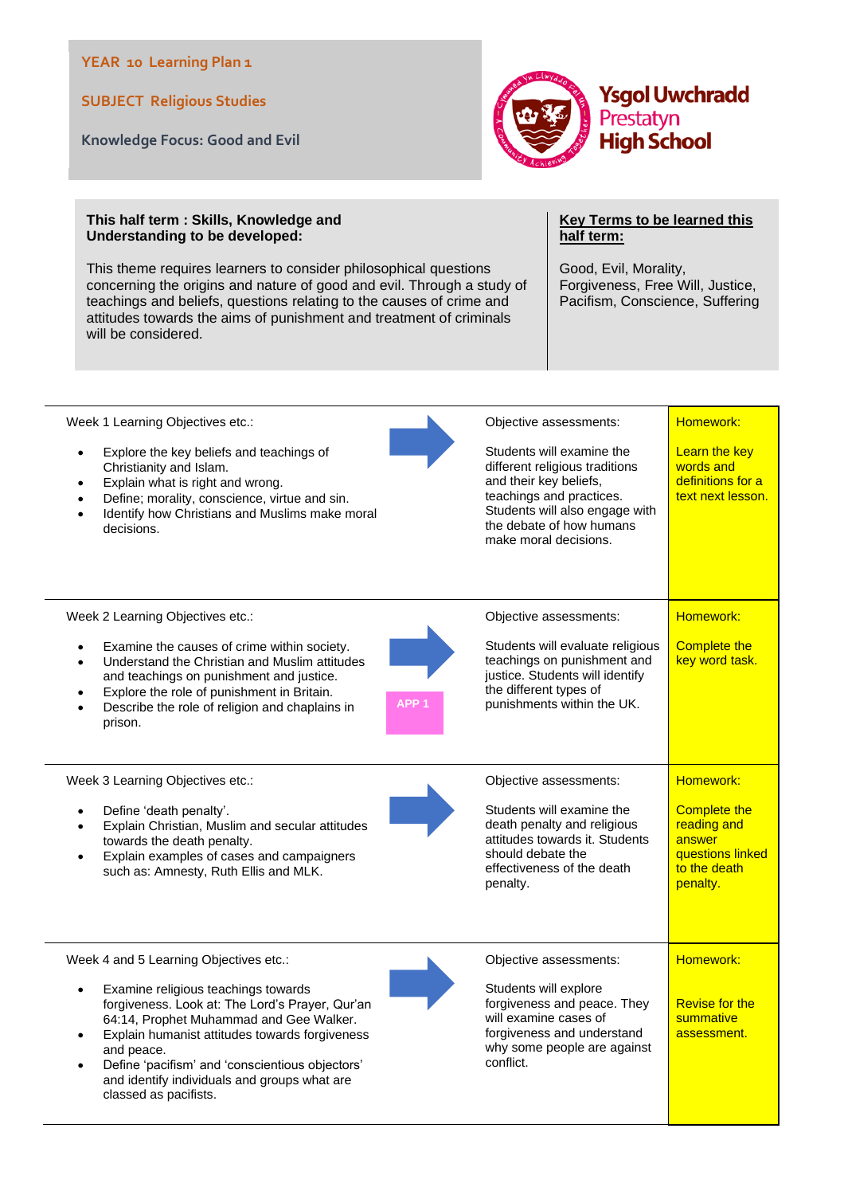## **YEAR 10 Learning Plan 1**

**SUBJECT Religious Studies**

**Knowledge Focus: Good and Evil** 



## **This half term : Skills, Knowledge and Understanding to be developed:**

This theme requires learners to consider philosophical questions concerning the origins and nature of good and evil. Through a study of teachings and beliefs, questions relating to the causes of crime and attitudes towards the aims of punishment and treatment of criminals will be considered.

## **Key Terms to be learned this half term:**

Good, Evil, Morality, Forgiveness, Free Will, Justice, Pacifism, Conscience, Suffering

| Week 1 Learning Objectives etc.:<br>Explore the key beliefs and teachings of<br>$\bullet$<br>Christianity and Islam.<br>Explain what is right and wrong.<br>Define; morality, conscience, virtue and sin.<br>Identify how Christians and Muslims make moral<br>decisions.                                                                                               | Objective assessments:<br>Students will examine the<br>different religious traditions<br>and their key beliefs,<br>teachings and practices.<br>Students will also engage with<br>the debate of how humans<br>make moral decisions. | Homework:<br>Learn the key<br>words and<br>definitions for a<br>text next lesson.                         |
|-------------------------------------------------------------------------------------------------------------------------------------------------------------------------------------------------------------------------------------------------------------------------------------------------------------------------------------------------------------------------|------------------------------------------------------------------------------------------------------------------------------------------------------------------------------------------------------------------------------------|-----------------------------------------------------------------------------------------------------------|
| Week 2 Learning Objectives etc.:<br>Examine the causes of crime within society.<br>Understand the Christian and Muslim attitudes<br>and teachings on punishment and justice.<br>Explore the role of punishment in Britain.<br>Describe the role of religion and chaplains in<br>prison.                                                                                 | Objective assessments:<br>Students will evaluate religious<br>teachings on punishment and<br>justice. Students will identify<br>the different types of<br>punishments within the UK.<br>APP 1                                      | Homework:<br><b>Complete the</b><br>key word task.                                                        |
| Week 3 Learning Objectives etc.:<br>Define 'death penalty'.<br>Explain Christian, Muslim and secular attitudes<br>towards the death penalty.<br>Explain examples of cases and campaigners<br>such as: Amnesty, Ruth Ellis and MLK.                                                                                                                                      | Objective assessments:<br>Students will examine the<br>death penalty and religious<br>attitudes towards it. Students<br>should debate the<br>effectiveness of the death<br>penalty.                                                | Homework:<br><b>Complete the</b><br>reading and<br>answer<br>questions linked<br>to the death<br>penalty. |
| Week 4 and 5 Learning Objectives etc.:<br>Examine religious teachings towards<br>forgiveness. Look at: The Lord's Prayer, Qur'an<br>64:14, Prophet Muhammad and Gee Walker.<br>Explain humanist attitudes towards forgiveness<br>and peace.<br>Define 'pacifism' and 'conscientious objectors'<br>and identify individuals and groups what are<br>classed as pacifists. | Objective assessments:<br>Students will explore<br>forgiveness and peace. They<br>will examine cases of<br>forgiveness and understand<br>why some people are against<br>conflict.                                                  | Homework:<br><b>Revise for the</b><br>summative<br>assessment.                                            |